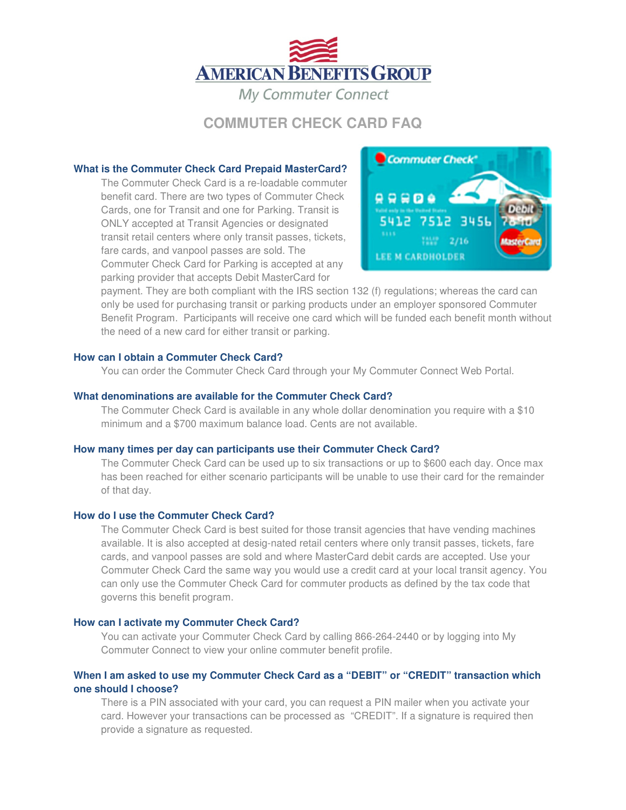

# **COMMUTER CHECK CARD FAQ**

### **What is the Commuter Check Card Prepaid MasterCard?**

The Commuter Check Card is a re-loadable commuter benefit card. There are two types of Commuter Check Cards, one for Transit and one for Parking. Transit is ONLY accepted at Transit Agencies or designated transit retail centers where only transit passes, tickets, fare cards, and vanpool passes are sold. The Commuter Check Card for Parking is accepted at any parking provider that accepts Debit MasterCard for



payment. They are both compliant with the IRS section 132 (f) regulations; whereas the card can only be used for purchasing transit or parking products under an employer sponsored Commuter Benefit Program. Participants will receive one card which will be funded each benefit month without the need of a new card for either transit or parking.

### **How can I obtain a Commuter Check Card?**

You can order the Commuter Check Card through your My Commuter Connect Web Portal.

### **What denominations are available for the Commuter Check Card?**

The Commuter Check Card is available in any whole dollar denomination you require with a \$10 minimum and a \$700 maximum balance load. Cents are not available.

### **How many times per day can participants use their Commuter Check Card?**

The Commuter Check Card can be used up to six transactions or up to \$600 each day. Once max has been reached for either scenario participants will be unable to use their card for the remainder of that day.

### **How do I use the Commuter Check Card?**

The Commuter Check Card is best suited for those transit agencies that have vending machines available. It is also accepted at desig-nated retail centers where only transit passes, tickets, fare cards, and vanpool passes are sold and where MasterCard debit cards are accepted. Use your Commuter Check Card the same way you would use a credit card at your local transit agency. You can only use the Commuter Check Card for commuter products as defined by the tax code that governs this benefit program.

### **How can I activate my Commuter Check Card?**

You can activate your Commuter Check Card by calling 866-264-2440 or by logging into My Commuter Connect to view your online commuter benefit profile.

## **When I am asked to use my Commuter Check Card as a "DEBIT" or "CREDIT" transaction which one should I choose?**

There is a PIN associated with your card, you can request a PIN mailer when you activate your card. However your transactions can be processed as "CREDIT". If a signature is required then provide a signature as requested.